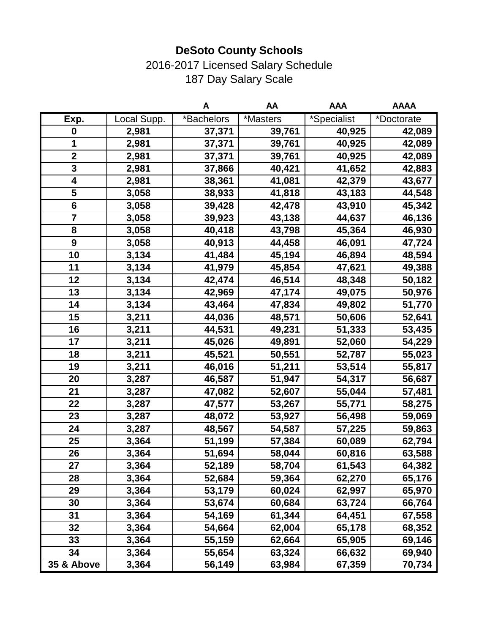#### 2016-2017 Licensed Salary Schedule 187 Day Salary Scale

|                         |             | Α          | AA       | <b>AAA</b>  | <b>AAAA</b> |
|-------------------------|-------------|------------|----------|-------------|-------------|
| Exp.                    | Local Supp. | *Bachelors | *Masters | *Specialist | *Doctorate  |
| $\mathbf 0$             | 2,981       | 37,371     | 39,761   | 40,925      | 42,089      |
| 1                       | 2,981       | 37,371     | 39,761   | 40,925      | 42,089      |
| $\mathbf{2}$            | 2,981       | 37,371     | 39,761   | 40,925      | 42,089      |
| $\mathbf{3}$            | 2,981       | 37,866     | 40,421   | 41,652      | 42,883      |
| 4                       | 2,981       | 38,361     | 41,081   | 42,379      | 43,677      |
| 5                       | 3,058       | 38,933     | 41,818   | 43,183      | 44,548      |
| $6\phantom{1}6$         | 3,058       | 39,428     | 42,478   | 43,910      | 45,342      |
| $\overline{\mathbf{7}}$ | 3,058       | 39,923     | 43,138   | 44,637      | 46,136      |
| 8                       | 3,058       | 40,418     | 43,798   | 45,364      | 46,930      |
| 9                       | 3,058       | 40,913     | 44,458   | 46,091      | 47,724      |
| 10                      | 3,134       | 41,484     | 45,194   | 46,894      | 48,594      |
| 11                      | 3,134       | 41,979     | 45,854   | 47,621      | 49,388      |
| 12                      | 3,134       | 42,474     | 46,514   | 48,348      | 50,182      |
| 13                      | 3,134       | 42,969     | 47,174   | 49,075      | 50,976      |
| 14                      | 3,134       | 43,464     | 47,834   | 49,802      | 51,770      |
| 15                      | 3,211       | 44,036     | 48,571   | 50,606      | 52,641      |
| 16                      | 3,211       | 44,531     | 49,231   | 51,333      | 53,435      |
| 17                      | 3,211       | 45,026     | 49,891   | 52,060      | 54,229      |
| 18                      | 3,211       | 45,521     | 50,551   | 52,787      | 55,023      |
| 19                      | 3,211       | 46,016     | 51,211   | 53,514      | 55,817      |
| 20                      | 3,287       | 46,587     | 51,947   | 54,317      | 56,687      |
| 21                      | 3,287       | 47,082     | 52,607   | 55,044      | 57,481      |
| 22                      | 3,287       | 47,577     | 53,267   | 55,771      | 58,275      |
| 23                      | 3,287       | 48,072     | 53,927   | 56,498      | 59,069      |
| 24                      | 3,287       | 48,567     | 54,587   | 57,225      | 59,863      |
| 25                      | 3,364       | 51,199     | 57,384   | 60,089      | 62,794      |
| 26                      | 3,364       | 51,694     | 58,044   | 60,816      | 63,588      |
| 27                      | 3,364       | 52,189     | 58,704   | 61,543      | 64,382      |
| 28                      | 3,364       | 52,684     | 59,364   | 62,270      | 65,176      |
| 29                      | 3,364       | 53,179     | 60,024   | 62,997      | 65,970      |
| 30                      | 3,364       | 53,674     | 60,684   | 63,724      | 66,764      |
| 31                      | 3,364       | 54,169     | 61,344   | 64,451      | 67,558      |
| 32                      | 3,364       | 54,664     | 62,004   | 65,178      | 68,352      |
| 33                      | 3,364       | 55,159     | 62,664   | 65,905      | 69,146      |
| 34                      | 3,364       | 55,654     | 63,324   | 66,632      | 69,940      |
| 35 & Above              | 3,364       | 56,149     | 63,984   | 67,359      | 70,734      |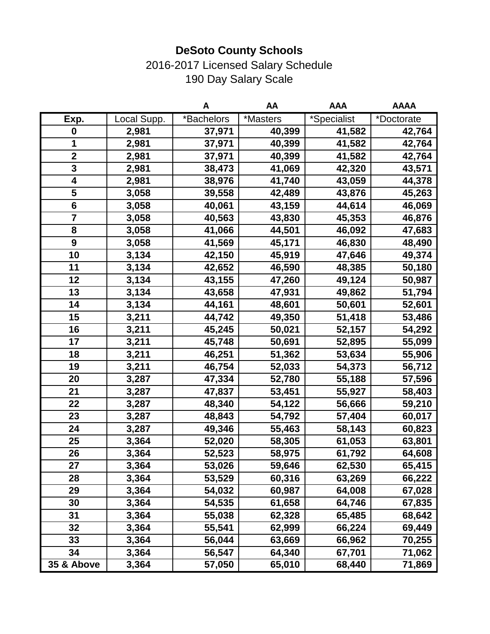# 2016-2017 Licensed Salary Schedule 190 Day Salary Scale

|                         |             | Α          | AA       | <b>AAA</b>  | <b>AAAA</b> |
|-------------------------|-------------|------------|----------|-------------|-------------|
| Exp.                    | Local Supp. | *Bachelors | *Masters | *Specialist | *Doctorate  |
| 0                       | 2,981       | 37,971     | 40,399   | 41,582      | 42,764      |
| 1                       | 2,981       | 37,971     | 40,399   | 41,582      | 42,764      |
| $\mathbf{2}$            | 2,981       | 37,971     | 40,399   | 41,582      | 42,764      |
| 3                       | 2,981       | 38,473     | 41,069   | 42,320      | 43,571      |
| 4                       | 2,981       | 38,976     | 41,740   | 43,059      | 44,378      |
| 5                       | 3,058       | 39,558     | 42,489   | 43,876      | 45,263      |
| $6\phantom{1}$          | 3,058       | 40,061     | 43,159   | 44,614      | 46,069      |
| $\overline{\mathbf{7}}$ | 3,058       | 40,563     | 43,830   | 45,353      | 46,876      |
| 8                       | 3,058       | 41,066     | 44,501   | 46,092      | 47,683      |
| $\boldsymbol{9}$        | 3,058       | 41,569     | 45,171   | 46,830      | 48,490      |
| 10                      | 3,134       | 42,150     | 45,919   | 47,646      | 49,374      |
| 11                      | 3,134       | 42,652     | 46,590   | 48,385      | 50,180      |
| 12                      | 3,134       | 43,155     | 47,260   | 49,124      | 50,987      |
| 13                      | 3,134       | 43,658     | 47,931   | 49,862      | 51,794      |
| 14                      | 3,134       | 44,161     | 48,601   | 50,601      | 52,601      |
| 15                      | 3,211       | 44,742     | 49,350   | 51,418      | 53,486      |
| 16                      | 3,211       | 45,245     | 50,021   | 52,157      | 54,292      |
| 17                      | 3,211       | 45,748     | 50,691   | 52,895      | 55,099      |
| 18                      | 3,211       | 46,251     | 51,362   | 53,634      | 55,906      |
| 19                      | 3,211       | 46,754     | 52,033   | 54,373      | 56,712      |
| 20                      | 3,287       | 47,334     | 52,780   | 55,188      | 57,596      |
| 21                      | 3,287       | 47,837     | 53,451   | 55,927      | 58,403      |
| 22                      | 3,287       | 48,340     | 54,122   | 56,666      | 59,210      |
| 23                      | 3,287       | 48,843     | 54,792   | 57,404      | 60,017      |
| 24                      | 3,287       | 49,346     | 55,463   | 58,143      | 60,823      |
| 25                      | 3,364       | 52,020     | 58,305   | 61,053      | 63,801      |
| 26                      | 3,364       | 52,523     | 58,975   | 61,792      | 64,608      |
| 27                      | 3,364       | 53,026     | 59,646   | 62,530      | 65,415      |
| 28                      | 3,364       | 53,529     | 60,316   | 63,269      | 66,222      |
| 29                      | 3,364       | 54,032     | 60,987   | 64,008      | 67,028      |
| 30                      | 3,364       | 54,535     | 61,658   | 64,746      | 67,835      |
| 31                      | 3,364       | 55,038     | 62,328   | 65,485      | 68,642      |
| 32                      | 3,364       | 55,541     | 62,999   | 66,224      | 69,449      |
| 33                      | 3,364       | 56,044     | 63,669   | 66,962      | 70,255      |
| 34                      | 3,364       | 56,547     | 64,340   | 67,701      | 71,062      |
| 35 & Above              | 3,364       | 57,050     | 65,010   | 68,440      | 71,869      |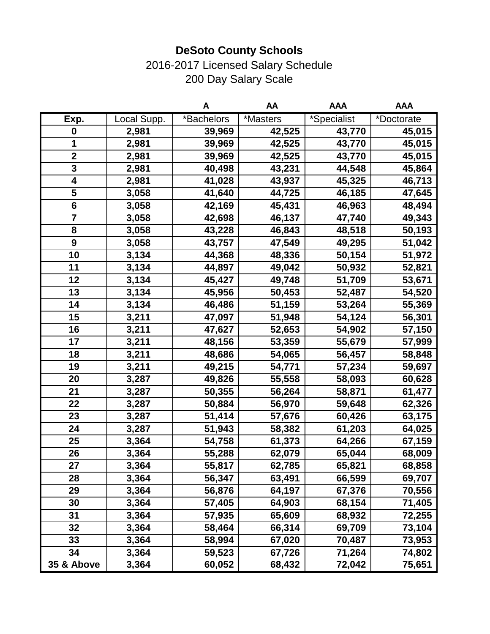# 2016-2017 Licensed Salary Schedule 200 Day Salary Scale

|                         |             | Α          | AA       | <b>AAA</b>  | <b>AAA</b> |
|-------------------------|-------------|------------|----------|-------------|------------|
| Exp.                    | Local Supp. | *Bachelors | *Masters | *Specialist | *Doctorate |
| 0                       | 2,981       | 39,969     | 42,525   | 43,770      | 45,015     |
| 1                       | 2,981       | 39,969     | 42,525   | 43,770      | 45,015     |
| $\mathbf{2}$            | 2,981       | 39,969     | 42,525   | 43,770      | 45,015     |
| 3                       | 2,981       | 40,498     | 43,231   | 44,548      | 45,864     |
| 4                       | 2,981       | 41,028     | 43,937   | 45,325      | 46,713     |
| 5                       | 3,058       | 41,640     | 44,725   | 46,185      | 47,645     |
| $6\phantom{1}$          | 3,058       | 42,169     | 45,431   | 46,963      | 48,494     |
| $\overline{\mathbf{7}}$ | 3,058       | 42,698     | 46,137   | 47,740      | 49,343     |
| 8                       | 3,058       | 43,228     | 46,843   | 48,518      | 50,193     |
| $\boldsymbol{9}$        | 3,058       | 43,757     | 47,549   | 49,295      | 51,042     |
| 10                      | 3,134       | 44,368     | 48,336   | 50,154      | 51,972     |
| 11                      | 3,134       | 44,897     | 49,042   | 50,932      | 52,821     |
| 12                      | 3,134       | 45,427     | 49,748   | 51,709      | 53,671     |
| 13                      | 3,134       | 45,956     | 50,453   | 52,487      | 54,520     |
| 14                      | 3,134       | 46,486     | 51,159   | 53,264      | 55,369     |
| 15                      | 3,211       | 47,097     | 51,948   | 54,124      | 56,301     |
| 16                      | 3,211       | 47,627     | 52,653   | 54,902      | 57,150     |
| 17                      | 3,211       | 48,156     | 53,359   | 55,679      | 57,999     |
| 18                      | 3,211       | 48,686     | 54,065   | 56,457      | 58,848     |
| 19                      | 3,211       | 49,215     | 54,771   | 57,234      | 59,697     |
| 20                      | 3,287       | 49,826     | 55,558   | 58,093      | 60,628     |
| 21                      | 3,287       | 50,355     | 56,264   | 58,871      | 61,477     |
| 22                      | 3,287       | 50,884     | 56,970   | 59,648      | 62,326     |
| 23                      | 3,287       | 51,414     | 57,676   | 60,426      | 63,175     |
| 24                      | 3,287       | 51,943     | 58,382   | 61,203      | 64,025     |
| 25                      | 3,364       | 54,758     | 61,373   | 64,266      | 67,159     |
| 26                      | 3,364       | 55,288     | 62,079   | 65,044      | 68,009     |
| 27                      | 3,364       | 55,817     | 62,785   | 65,821      | 68,858     |
| 28                      | 3,364       | 56,347     | 63,491   | 66,599      | 69,707     |
| 29                      | 3,364       | 56,876     | 64,197   | 67,376      | 70,556     |
| 30                      | 3,364       | 57,405     | 64,903   | 68,154      | 71,405     |
| 31                      | 3,364       | 57,935     | 65,609   | 68,932      | 72,255     |
| 32                      | 3,364       | 58,464     | 66,314   | 69,709      | 73,104     |
| 33                      | 3,364       | 58,994     | 67,020   | 70,487      | 73,953     |
| 34                      | 3,364       | 59,523     | 67,726   | 71,264      | 74,802     |
| $35$ & Above            | 3,364       | 60,052     | 68,432   | 72,042      | 75,651     |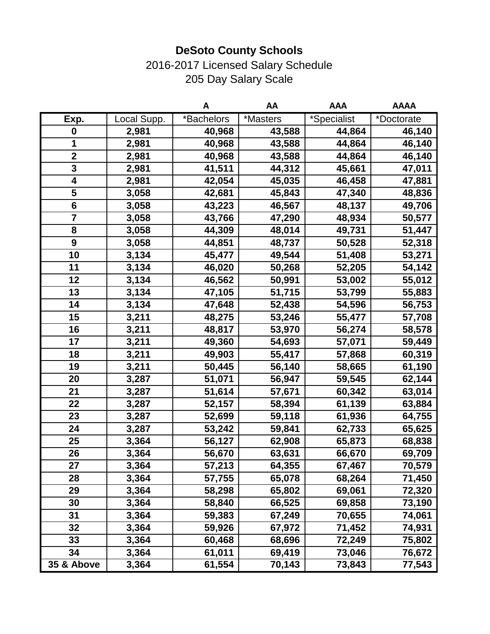# 2016-2017 Licensed Salary Schedule 205 Day Salary Scale

|                         |             | A          | AA       | <b>AAA</b>  | <b>AAAA</b> |
|-------------------------|-------------|------------|----------|-------------|-------------|
| Exp.                    | Local Supp. | *Bachelors | *Masters | *Specialist | *Doctorate  |
| 0                       | 2,981       | 40,968     | 43,588   | 44,864      | 46,140      |
| 1                       | 2,981       | 40,968     | 43,588   | 44,864      | 46,140      |
| $\mathbf{2}$            | 2,981       | 40,968     | 43,588   | 44,864      | 46,140      |
| 3                       | 2,981       | 41,511     | 44,312   | 45,661      | 47,011      |
| 4                       | 2,981       | 42,054     | 45,035   | 46,458      | 47,881      |
| 5                       | 3,058       | 42,681     | 45,843   | 47,340      | 48,836      |
| $6\phantom{1}$          | 3,058       | 43,223     | 46,567   | 48,137      | 49,706      |
| $\overline{\mathbf{7}}$ | 3,058       | 43,766     | 47,290   | 48,934      | 50,577      |
| 8                       | 3,058       | 44,309     | 48,014   | 49,731      | 51,447      |
| $\boldsymbol{9}$        | 3,058       | 44,851     | 48,737   | 50,528      | 52,318      |
| 10                      | 3,134       | 45,477     | 49,544   | 51,408      | 53,271      |
| 11                      | 3,134       | 46,020     | 50,268   | 52,205      | 54,142      |
| 12                      | 3,134       | 46,562     | 50,991   | 53,002      | 55,012      |
| 13                      | 3,134       | 47,105     | 51,715   | 53,799      | 55,883      |
| 14                      | 3,134       | 47,648     | 52,438   | 54,596      | 56,753      |
| 15                      | 3,211       | 48,275     | 53,246   | 55,477      | 57,708      |
| 16                      | 3,211       | 48,817     | 53,970   | 56,274      | 58,578      |
| 17                      | 3,211       | 49,360     | 54,693   | 57,071      | 59,449      |
| 18                      | 3,211       | 49,903     | 55,417   | 57,868      | 60,319      |
| 19                      | 3,211       | 50,445     | 56,140   | 58,665      | 61,190      |
| 20                      | 3,287       | 51,071     | 56,947   | 59,545      | 62,144      |
| 21                      | 3,287       | 51,614     | 57,671   | 60,342      | 63,014      |
| 22                      | 3,287       | 52,157     | 58,394   | 61,139      | 63,884      |
| 23                      | 3,287       | 52,699     | 59,118   | 61,936      | 64,755      |
| 24                      | 3,287       | 53,242     | 59,841   | 62,733      | 65,625      |
| 25                      | 3,364       | 56,127     | 62,908   | 65,873      | 68,838      |
| 26                      | 3,364       | 56,670     | 63,631   | 66,670      | 69,709      |
| 27                      | 3,364       | 57,213     | 64,355   | 67,467      | 70,579      |
| 28                      | 3,364       | 57,755     | 65,078   | 68,264      | 71,450      |
| 29                      | 3,364       | 58,298     | 65,802   | 69,061      | 72,320      |
| 30                      | 3,364       | 58,840     | 66,525   | 69,858      | 73,190      |
| 31                      | 3,364       | 59,383     | 67,249   | 70,655      | 74,061      |
| 32                      | 3,364       | 59,926     | 67,972   | 71,452      | 74,931      |
| 33                      | 3,364       | 60,468     | 68,696   | 72,249      | 75,802      |
| 34                      | 3,364       | 61,011     | 69,419   | 73,046      | 76,672      |
| $35$ & Above            | 3,364       | 61,554     | 70,143   | 73,843      | 77,543      |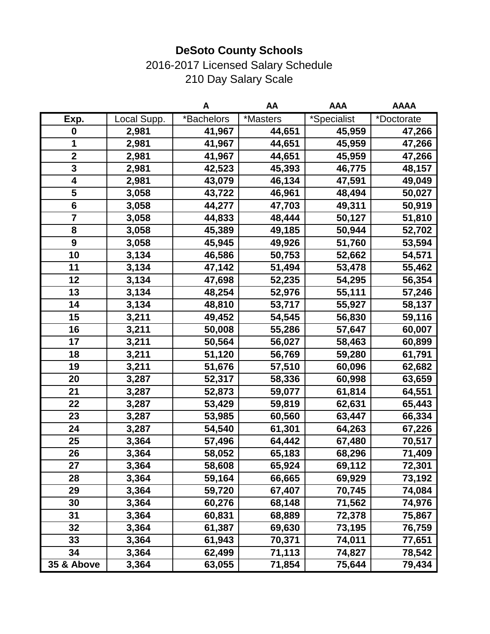#### 2016-2017 Licensed Salary Schedule 210 Day Salary Scale

|                         |             | A          | AA       | <b>AAA</b>  | <b>AAAA</b> |
|-------------------------|-------------|------------|----------|-------------|-------------|
| Exp.                    | Local Supp. | *Bachelors | *Masters | *Specialist | *Doctorate  |
| $\mathbf 0$             | 2,981       | 41,967     | 44,651   | 45,959      | 47,266      |
| 1                       | 2,981       | 41,967     | 44,651   | 45,959      | 47,266      |
| $\mathbf 2$             | 2,981       | 41,967     | 44,651   | 45,959      | 47,266      |
| 3                       | 2,981       | 42,523     | 45,393   | 46,775      | 48,157      |
| 4                       | 2,981       | 43,079     | 46,134   | 47,591      | 49,049      |
| 5                       | 3,058       | 43,722     | 46,961   | 48,494      | 50,027      |
| $6\phantom{1}$          | 3,058       | 44,277     | 47,703   | 49,311      | 50,919      |
| $\overline{\mathbf{7}}$ | 3,058       | 44,833     | 48,444   | 50,127      | 51,810      |
| 8                       | 3,058       | 45,389     | 49,185   | 50,944      | 52,702      |
| $\boldsymbol{9}$        | 3,058       | 45,945     | 49,926   | 51,760      | 53,594      |
| 10                      | 3,134       | 46,586     | 50,753   | 52,662      | 54,571      |
| 11                      | 3,134       | 47,142     | 51,494   | 53,478      | 55,462      |
| 12                      | 3,134       | 47,698     | 52,235   | 54,295      | 56,354      |
| 13                      | 3,134       | 48,254     | 52,976   | 55,111      | 57,246      |
| 14                      | 3,134       | 48,810     | 53,717   | 55,927      | 58,137      |
| 15                      | 3,211       | 49,452     | 54,545   | 56,830      | 59,116      |
| 16                      | 3,211       | 50,008     | 55,286   | 57,647      | 60,007      |
| 17                      | 3,211       | 50,564     | 56,027   | 58,463      | 60,899      |
| 18                      | 3,211       | 51,120     | 56,769   | 59,280      | 61,791      |
| 19                      | 3,211       | 51,676     | 57,510   | 60,096      | 62,682      |
| 20                      | 3,287       | 52,317     | 58,336   | 60,998      | 63,659      |
| 21                      | 3,287       | 52,873     | 59,077   | 61,814      | 64,551      |
| 22                      | 3,287       | 53,429     | 59,819   | 62,631      | 65,443      |
| 23                      | 3,287       | 53,985     | 60,560   | 63,447      | 66,334      |
| 24                      | 3,287       | 54,540     | 61,301   | 64,263      | 67,226      |
| 25                      | 3,364       | 57,496     | 64,442   | 67,480      | 70,517      |
| 26                      | 3,364       | 58,052     | 65,183   | 68,296      | 71,409      |
| 27                      | 3,364       | 58,608     | 65,924   | 69,112      | 72,301      |
| 28                      | 3,364       | 59,164     | 66,665   | 69,929      | 73,192      |
| 29                      | 3,364       | 59,720     | 67,407   | 70,745      | 74,084      |
| 30                      | 3,364       | 60,276     | 68,148   | 71,562      | 74,976      |
| 31                      | 3,364       | 60,831     | 68,889   | 72,378      | 75,867      |
| 32                      | 3,364       | 61,387     | 69,630   | 73,195      | 76,759      |
| 33                      | 3,364       | 61,943     | 70,371   | 74,011      | 77,651      |
| 34                      | 3,364       | 62,499     | 71,113   | 74,827      | 78,542      |
| 35 & Above              | 3,364       | 63,055     | 71,854   | 75,644      | 79,434      |